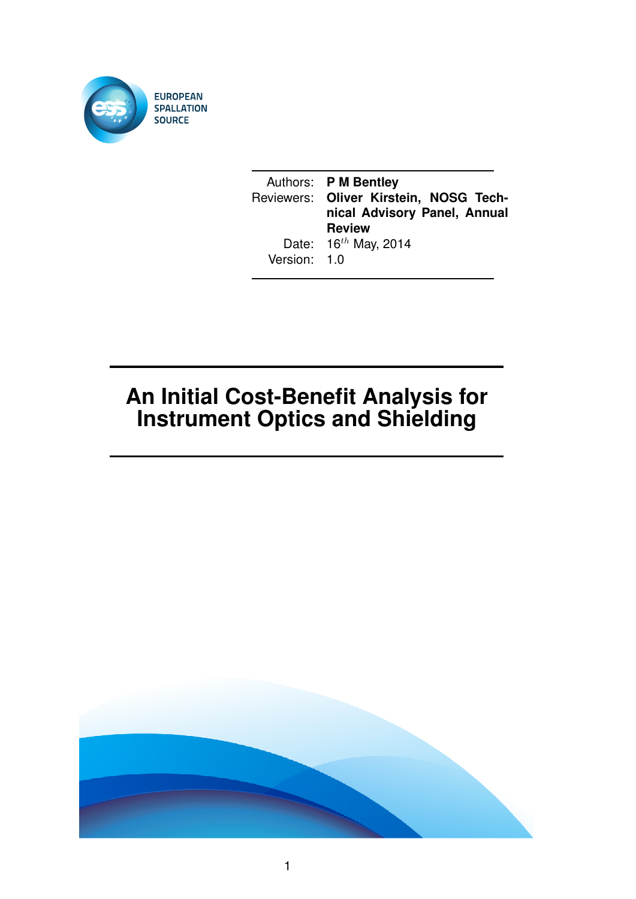

|              | Authors: P M Bentley<br>Reviewers: Oliver Kirstein, NOSG Tech-<br>nical Advisory Panel, Annual |
|--------------|------------------------------------------------------------------------------------------------|
|              | <b>Review</b>                                                                                  |
| Version: 1.0 | Date: $16^{th}$ May, 2014                                                                      |

# **An Initial Cost-Benefit Analysis for Instrument Optics and Shielding**

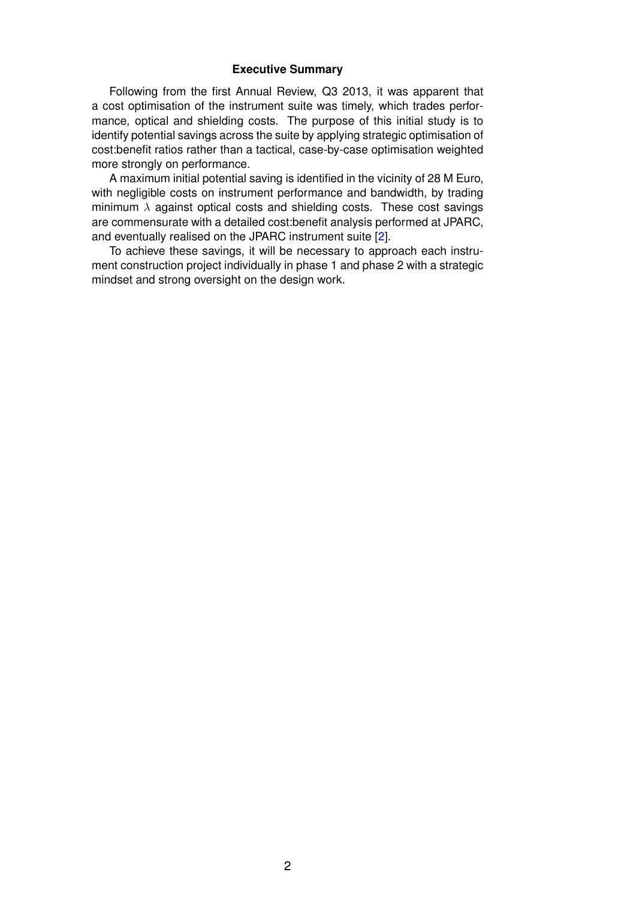#### **Executive Summary**

Following from the first Annual Review, Q3 2013, it was apparent that a cost optimisation of the instrument suite was timely, which trades performance, optical and shielding costs. The purpose of this initial study is to identify potential savings across the suite by applying strategic optimisation of cost:benefit ratios rather than a tactical, case-by-case optimisation weighted more strongly on performance.

A maximum initial potential saving is identified in the vicinity of 28 M Euro, with negligible costs on instrument performance and bandwidth, by trading minimum  $\lambda$  against optical costs and shielding costs. These cost savings are commensurate with a detailed cost:benefit analysis performed at JPARC, and eventually realised on the JPARC instrument suite [\[2\]](#page-14-0).

To achieve these savings, it will be necessary to approach each instrument construction project individually in phase 1 and phase 2 with a strategic mindset and strong oversight on the design work.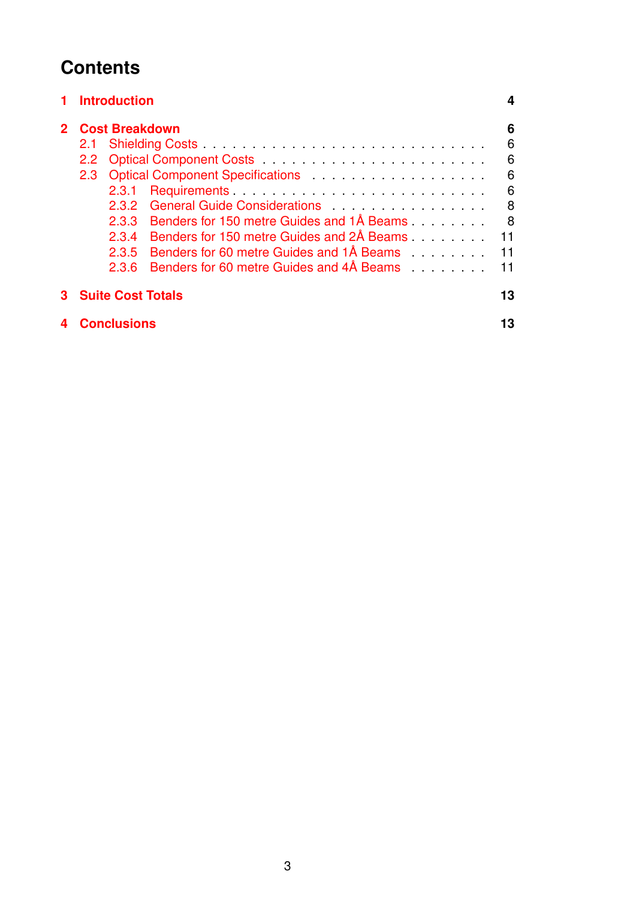## **Contents**

| <b>Introduction</b>                                                                                                                                                                                                                                                                                                                                                                                                    | 4                                                 |
|------------------------------------------------------------------------------------------------------------------------------------------------------------------------------------------------------------------------------------------------------------------------------------------------------------------------------------------------------------------------------------------------------------------------|---------------------------------------------------|
| <b>Cost Breakdown</b><br>2.1<br>$2.2^{\circ}$<br>2.3<br>2.3.1<br>2.3.2<br>Benders for 150 metre Guides and 1Å Beams<br>2.3.3<br>Benders for 150 metre Guides and 2Å Beams<br>2.3.4<br>Benders for 60 metre Guides and 1Å Beams Theory is a control of the Benders bender the Benders Benders<br>2.3.5<br>Benders for 60 metre Guides and 4Å Beams entitled as a set of the Benders bender the Benders Benders<br>2.3.6 | 6<br>6<br>6<br>6<br>6<br>8<br>8<br>11<br>11<br>11 |
| <b>Suite Cost Totals</b>                                                                                                                                                                                                                                                                                                                                                                                               | 13                                                |
| <b>Conclusions</b>                                                                                                                                                                                                                                                                                                                                                                                                     | 13                                                |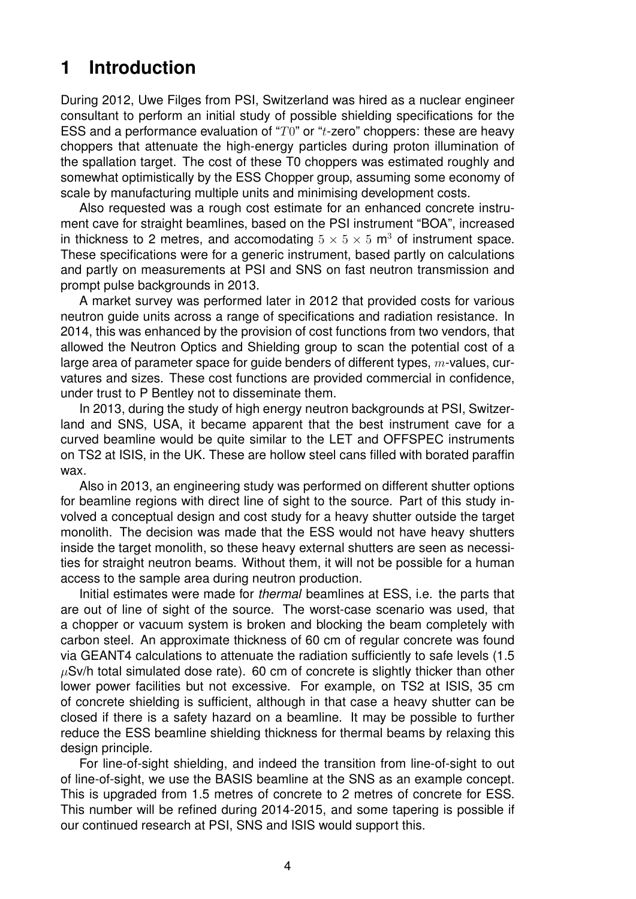## <span id="page-3-0"></span>**1 Introduction**

During 2012, Uwe Filges from PSI, Switzerland was hired as a nuclear engineer consultant to perform an initial study of possible shielding specifications for the ESS and a performance evaluation of " $T0$ " or " $t$ -zero" choppers: these are heavy choppers that attenuate the high-energy particles during proton illumination of the spallation target. The cost of these T0 choppers was estimated roughly and somewhat optimistically by the ESS Chopper group, assuming some economy of scale by manufacturing multiple units and minimising development costs.

Also requested was a rough cost estimate for an enhanced concrete instrument cave for straight beamlines, based on the PSI instrument "BOA", increased in thickness to 2 metres, and accomodating  $5 \times 5 \times 5$  m<sup>3</sup> of instrument space. These specifications were for a generic instrument, based partly on calculations and partly on measurements at PSI and SNS on fast neutron transmission and prompt pulse backgrounds in 2013.

A market survey was performed later in 2012 that provided costs for various neutron guide units across a range of specifications and radiation resistance. In 2014, this was enhanced by the provision of cost functions from two vendors, that allowed the Neutron Optics and Shielding group to scan the potential cost of a large area of parameter space for guide benders of different types,  $m$ -values, curvatures and sizes. These cost functions are provided commercial in confidence, under trust to P Bentley not to disseminate them.

In 2013, during the study of high energy neutron backgrounds at PSI, Switzerland and SNS, USA, it became apparent that the best instrument cave for a curved beamline would be quite similar to the LET and OFFSPEC instruments on TS2 at ISIS, in the UK. These are hollow steel cans filled with borated paraffin wax.

Also in 2013, an engineering study was performed on different shutter options for beamline regions with direct line of sight to the source. Part of this study involved a conceptual design and cost study for a heavy shutter outside the target monolith. The decision was made that the ESS would not have heavy shutters inside the target monolith, so these heavy external shutters are seen as necessities for straight neutron beams. Without them, it will not be possible for a human access to the sample area during neutron production.

Initial estimates were made for *thermal* beamlines at ESS, i.e. the parts that are out of line of sight of the source. The worst-case scenario was used, that a chopper or vacuum system is broken and blocking the beam completely with carbon steel. An approximate thickness of 60 cm of regular concrete was found via GEANT4 calculations to attenuate the radiation sufficiently to safe levels (1.5  $\mu$ Sv/h total simulated dose rate). 60 cm of concrete is slightly thicker than other lower power facilities but not excessive. For example, on TS2 at ISIS, 35 cm of concrete shielding is sufficient, although in that case a heavy shutter can be closed if there is a safety hazard on a beamline. It may be possible to further reduce the ESS beamline shielding thickness for thermal beams by relaxing this design principle.

For line-of-sight shielding, and indeed the transition from line-of-sight to out of line-of-sight, we use the BASIS beamline at the SNS as an example concept. This is upgraded from 1.5 metres of concrete to 2 metres of concrete for ESS. This number will be refined during 2014-2015, and some tapering is possible if our continued research at PSI, SNS and ISIS would support this.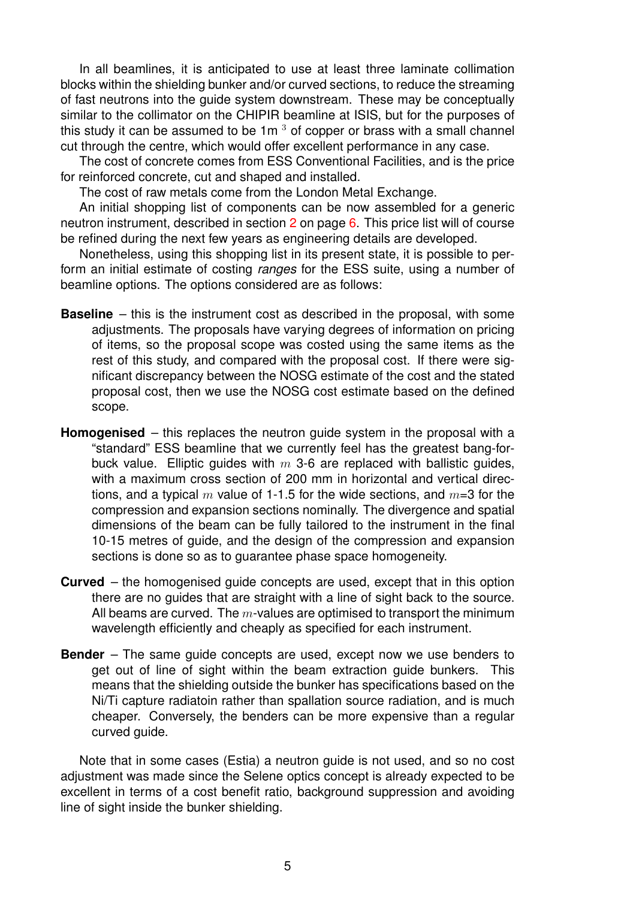In all beamlines, it is anticipated to use at least three laminate collimation blocks within the shielding bunker and/or curved sections, to reduce the streaming of fast neutrons into the guide system downstream. These may be conceptually similar to the collimator on the CHIPIR beamline at ISIS, but for the purposes of this study it can be assumed to be  $1m<sup>3</sup>$  of copper or brass with a small channel cut through the centre, which would offer excellent performance in any case.

The cost of concrete comes from ESS Conventional Facilities, and is the price for reinforced concrete, cut and shaped and installed.

The cost of raw metals come from the London Metal Exchange.

An initial shopping list of components can be now assembled for a generic neutron instrument, described in section [2](#page-5-0) on page [6.](#page-5-0) This price list will of course be refined during the next few years as engineering details are developed.

Nonetheless, using this shopping list in its present state, it is possible to perform an initial estimate of costing *ranges* for the ESS suite, using a number of beamline options. The options considered are as follows:

- **Baseline** this is the instrument cost as described in the proposal, with some adjustments. The proposals have varying degrees of information on pricing of items, so the proposal scope was costed using the same items as the rest of this study, and compared with the proposal cost. If there were significant discrepancy between the NOSG estimate of the cost and the stated proposal cost, then we use the NOSG cost estimate based on the defined scope.
- **Homogenised** this replaces the neutron guide system in the proposal with a "standard" ESS beamline that we currently feel has the greatest bang-forbuck value. Elliptic quides with  $m$  3-6 are replaced with ballistic quides, with a maximum cross section of 200 mm in horizontal and vertical directions, and a typical m value of 1-1.5 for the wide sections, and  $m=3$  for the compression and expansion sections nominally. The divergence and spatial dimensions of the beam can be fully tailored to the instrument in the final 10-15 metres of guide, and the design of the compression and expansion sections is done so as to guarantee phase space homogeneity.
- **Curved** the homogenised guide concepts are used, except that in this option there are no guides that are straight with a line of sight back to the source. All beams are curved. The  $m$ -values are optimised to transport the minimum wavelength efficiently and cheaply as specified for each instrument.
- **Bender** The same guide concepts are used, except now we use benders to get out of line of sight within the beam extraction guide bunkers. This means that the shielding outside the bunker has specifications based on the Ni/Ti capture radiatoin rather than spallation source radiation, and is much cheaper. Conversely, the benders can be more expensive than a regular curved guide.

Note that in some cases (Estia) a neutron guide is not used, and so no cost adjustment was made since the Selene optics concept is already expected to be excellent in terms of a cost benefit ratio, background suppression and avoiding line of sight inside the bunker shielding.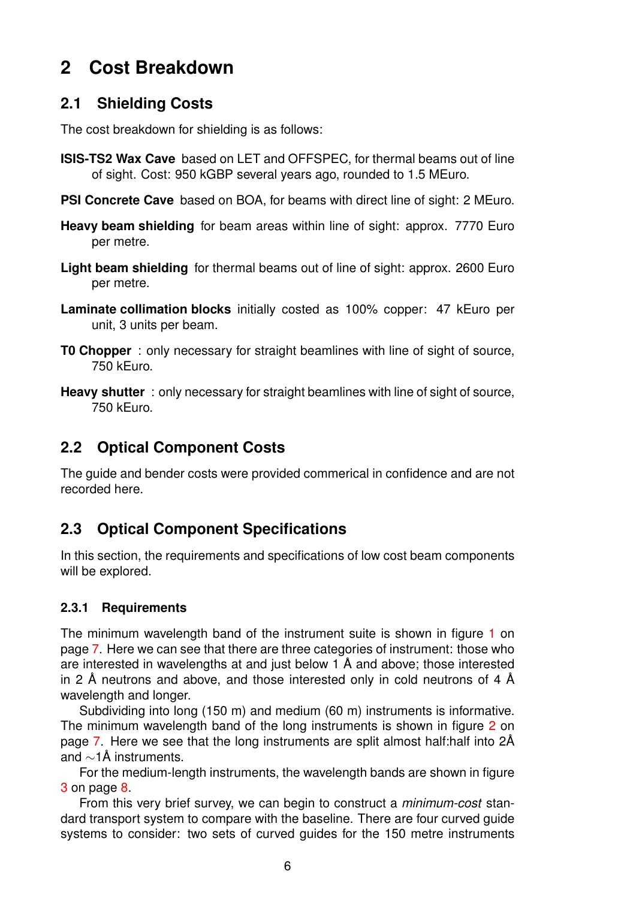## <span id="page-5-0"></span>**2 Cost Breakdown**

### <span id="page-5-1"></span>**2.1 Shielding Costs**

The cost breakdown for shielding is as follows:

- **ISIS-TS2 Wax Cave** based on LET and OFFSPEC, for thermal beams out of line of sight. Cost: 950 kGBP several years ago, rounded to 1.5 MEuro.
- **PSI Concrete Cave** based on BOA, for beams with direct line of sight: 2 MEuro.
- **Heavy beam shielding** for beam areas within line of sight: approx. 7770 Euro per metre.
- **Light beam shielding** for thermal beams out of line of sight: approx. 2600 Euro per metre.
- **Laminate collimation blocks** initially costed as 100% copper: 47 kEuro per unit, 3 units per beam.
- **T0 Chopper** : only necessary for straight beamlines with line of sight of source, 750 kEuro.
- **Heavy shutter**: only necessary for straight beamlines with line of sight of source, 750 kEuro.

### <span id="page-5-2"></span>**2.2 Optical Component Costs**

The guide and bender costs were provided commerical in confidence and are not recorded here.

## <span id="page-5-3"></span>**2.3 Optical Component Specifications**

In this section, the requirements and specifications of low cost beam components will be explored.

#### <span id="page-5-4"></span>**2.3.1 Requirements**

The minimum wavelength band of the instrument suite is shown in figure [1](#page-6-0) on page [7.](#page-6-0) Here we can see that there are three categories of instrument: those who are interested in wavelengths at and just below 1  $\AA$  and above; those interested in 2 Å neutrons and above, and those interested only in cold neutrons of 4 Å wavelength and longer.

Subdividing into long (150 m) and medium (60 m) instruments is informative. The minimum wavelength band of the long instruments is shown in figure [2](#page-6-1) on page [7.](#page-6-1) Here we see that the long instruments are split almost half: half into 2Å and  $\sim$ 1Å instruments.

For the medium-length instruments, the wavelength bands are shown in figure [3](#page-7-2) on page [8.](#page-7-2)

From this very brief survey, we can begin to construct a *minimum-cost* standard transport system to compare with the baseline. There are four curved guide systems to consider: two sets of curved guides for the 150 metre instruments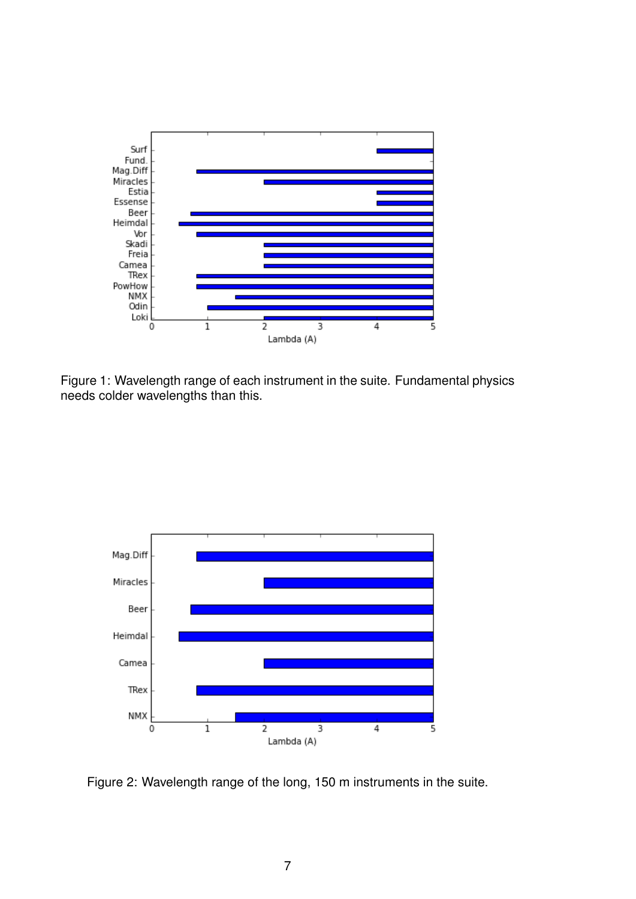<span id="page-6-0"></span>

Figure 1: Wavelength range of each instrument in the suite. Fundamental physics needs colder wavelengths than this.

<span id="page-6-1"></span>

Figure 2: Wavelength range of the long, 150 m instruments in the suite.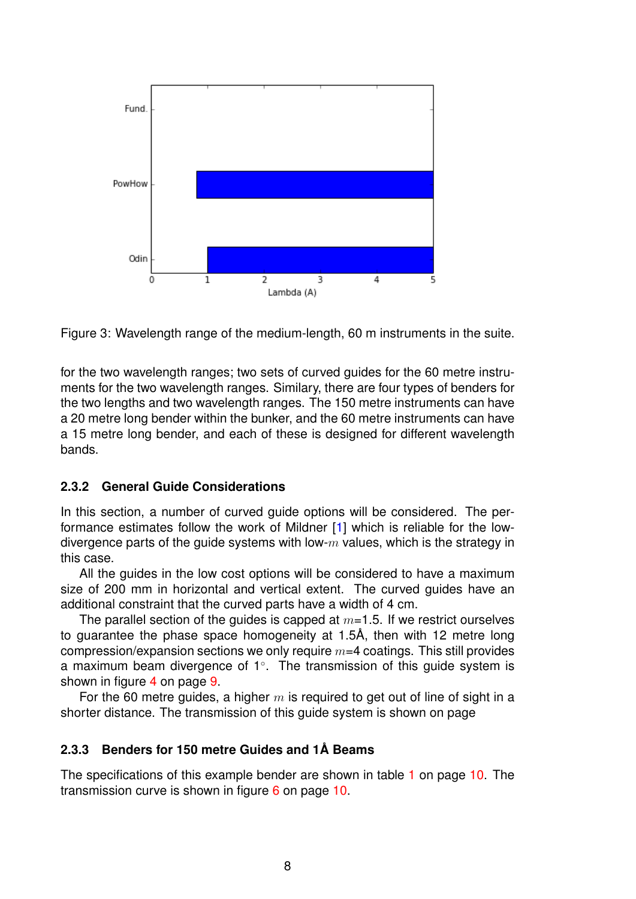<span id="page-7-2"></span>

Figure 3: Wavelength range of the medium-length, 60 m instruments in the suite.

for the two wavelength ranges; two sets of curved guides for the 60 metre instruments for the two wavelength ranges. Similary, there are four types of benders for the two lengths and two wavelength ranges. The 150 metre instruments can have a 20 metre long bender within the bunker, and the 60 metre instruments can have a 15 metre long bender, and each of these is designed for different wavelength bands.

#### <span id="page-7-0"></span>**2.3.2 General Guide Considerations**

In this section, a number of curved guide options will be considered. The performance estimates follow the work of Mildner [\[1\]](#page-14-1) which is reliable for the lowdivergence parts of the guide systems with low- $m$  values, which is the strategy in this case.

All the guides in the low cost options will be considered to have a maximum size of 200 mm in horizontal and vertical extent. The curved guides have an additional constraint that the curved parts have a width of 4 cm.

The parallel section of the guides is capped at  $m=1.5$ . If we restrict ourselves to guarantee the phase space homogeneity at 1.5Å, then with 12 metre long compression/expansion sections we only require  $m=4$  coatings. This still provides a maximum beam divergence of 1°. The transmission of this guide system is shown in figure [4](#page-8-0) on page [9.](#page-8-0)

For the 60 metre guides, a higher  $m$  is required to get out of line of sight in a shorter distance. The transmission of this guide system is shown on page

#### <span id="page-7-1"></span>**2.3.3 Benders for 150 metre Guides and 1A Beams ˚**

The specifications of this example bender are shown in table [1](#page-9-0) on page [10.](#page-9-0) The transmission curve is shown in figure [6](#page-9-1) on page [10.](#page-9-1)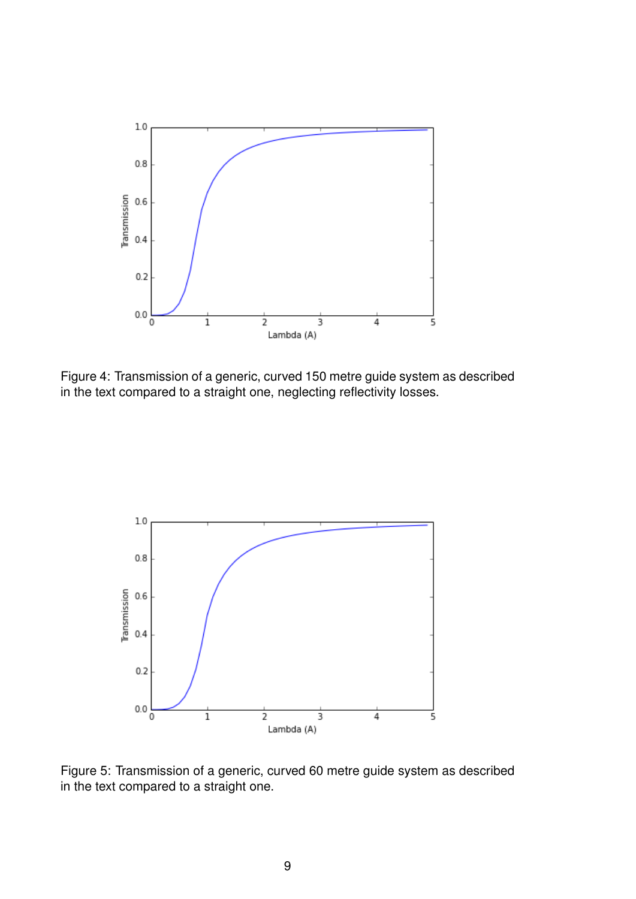<span id="page-8-0"></span>

Figure 4: Transmission of a generic, curved 150 metre guide system as described in the text compared to a straight one, neglecting reflectivity losses.



Figure 5: Transmission of a generic, curved 60 metre guide system as described in the text compared to a straight one.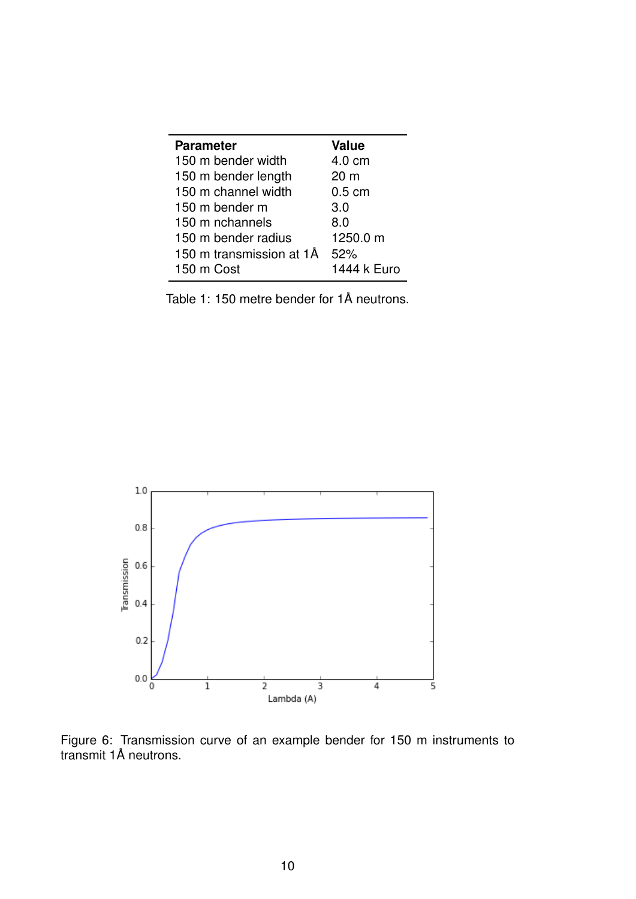<span id="page-9-0"></span>

| <b>Parameter</b>         | <b>Value</b>     |
|--------------------------|------------------|
| 150 m bender width       | 4.0 cm           |
| 150 m bender length      | 20 <sub>m</sub>  |
| 150 m channel width      | $0.5 \text{ cm}$ |
| 150 m bender m           | 3.0              |
| 150 m nchannels          | 8.0              |
| 150 m bender radius      | 1250.0 m         |
| 150 m transmission at 1Å | 52%              |
| 150 m Cost               | 1444 k Euro      |

Table 1: 150 metre bender for 1Å neutrons.

<span id="page-9-1"></span>

Figure 6: Transmission curve of an example bender for 150 m instruments to transmit 1Å neutrons.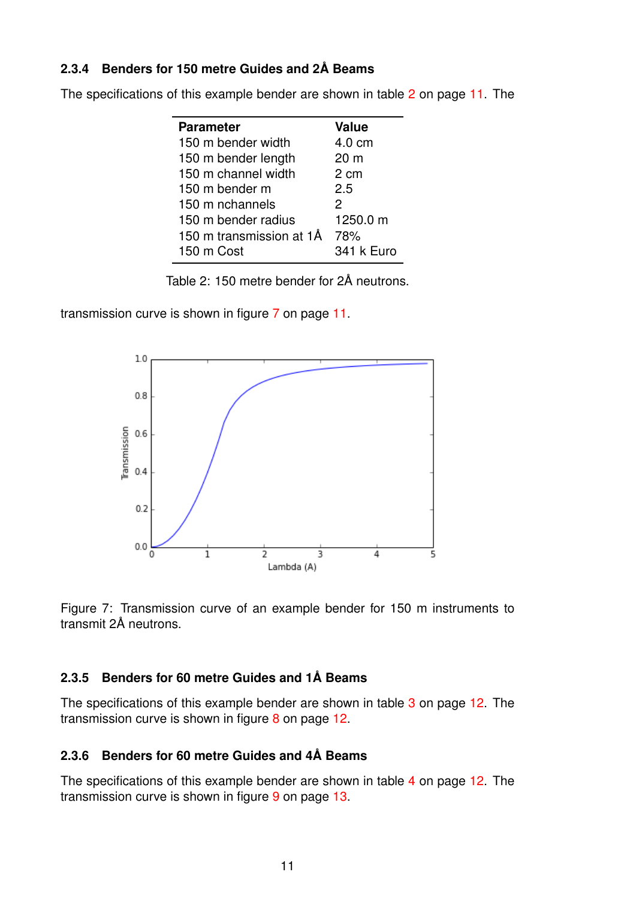#### <span id="page-10-0"></span>**2.3.4 Benders for 150 metre Guides and 2A Beams ˚**

<span id="page-10-3"></span>

|  |  | The specifications of this example bender are shown in table 2 on page 11. The |  |
|--|--|--------------------------------------------------------------------------------|--|
|--|--|--------------------------------------------------------------------------------|--|

| <b>Parameter</b>         | <b>Value</b>    |
|--------------------------|-----------------|
| 150 m bender width       | 4.0 cm          |
| 150 m bender length      | 20 <sub>m</sub> |
| 150 m channel width      | 2 cm            |
| 150 m bender m           | 2.5             |
| 150 m nchannels          | 2               |
| 150 m bender radius      | 1250.0 m        |
| 150 m transmission at 1Å | 78%             |
| 150 m Cost               | 341 k Euro      |

Table 2: 150 metre bender for 2Å neutrons.

<span id="page-10-4"></span>transmission curve is shown in figure [7](#page-10-4) on page [11.](#page-10-4)





#### <span id="page-10-1"></span>**2.3.5 Benders for 60 metre Guides and 1A Beams ˚**

The specifications of this example bender are shown in table [3](#page-11-0) on page [12.](#page-11-0) The transmission curve is shown in figure [8](#page-11-1) on page [12.](#page-11-1)

#### <span id="page-10-2"></span>**2.3.6 Benders for 60 metre Guides and 4A Beams ˚**

The specifications of this example bender are shown in table [4](#page-11-2) on page [12.](#page-11-2) The transmission curve is shown in figure [9](#page-12-2) on page [13.](#page-12-2)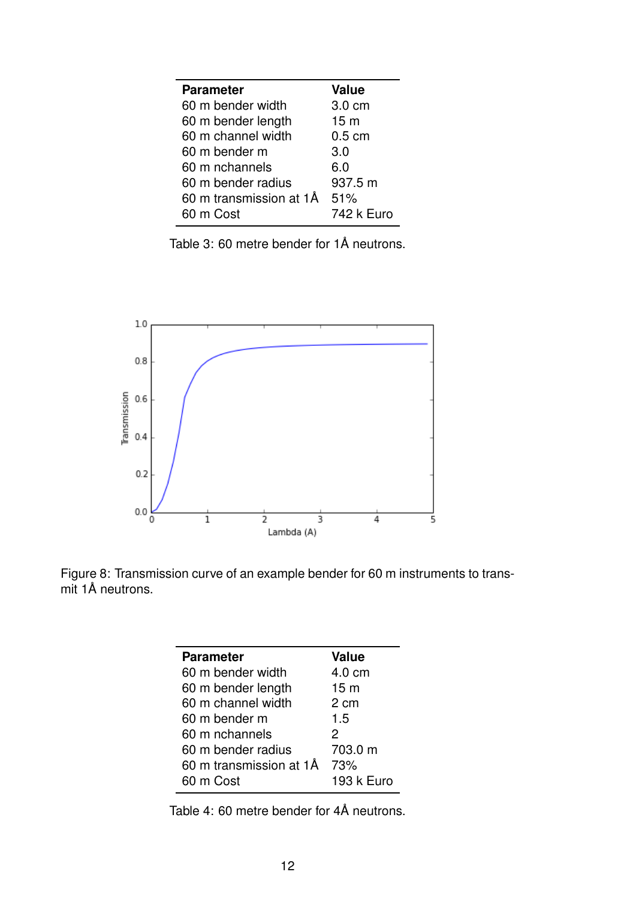<span id="page-11-0"></span>

| <b>Parameter</b>        | <b>Value</b>    |
|-------------------------|-----------------|
| 60 m bender width       | 3.0 cm          |
| 60 m bender length      | 15 <sub>m</sub> |
| 60 m channel width      | $0.5$ cm        |
| 60 m bender m           | 3.0             |
| 60 m nchannels          | 6.0             |
| 60 m bender radius      | 937.5 m         |
| 60 m transmission at 1Å | 51%             |
| 60 m Cost               | 742 k Euro      |

Table 3: 60 metre bender for 1Å neutrons.

<span id="page-11-1"></span>

<span id="page-11-2"></span>Figure 8: Transmission curve of an example bender for 60 m instruments to transmit 1Å neutrons.

| <b>Parameter</b>        | <b>Value</b>    |
|-------------------------|-----------------|
| 60 m bender width       | 4.0 cm          |
| 60 m bender length      | 15 <sub>m</sub> |
| 60 m channel width      | 2 cm            |
| 60 m bender m           | 1.5             |
| 60 m nchannels          | 2               |
| 60 m bender radius      | 703.0 m         |
| 60 m transmission at 1Å | 73%             |
| 60 m Cost               | 193 k Euro      |

Table 4: 60 metre bender for 4Å neutrons.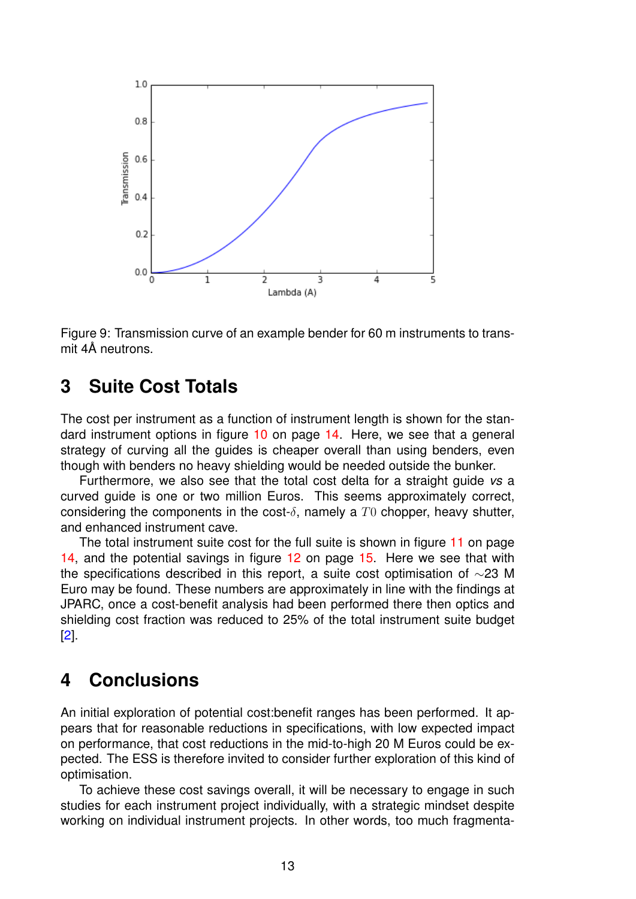<span id="page-12-2"></span>

Figure 9: Transmission curve of an example bender for 60 m instruments to trans $mit 4\AA$  neutrons.

## <span id="page-12-0"></span>**3 Suite Cost Totals**

The cost per instrument as a function of instrument length is shown for the standard instrument options in figure [10](#page-13-0) on page [14.](#page-13-0) Here, we see that a general strategy of curving all the guides is cheaper overall than using benders, even though with benders no heavy shielding would be needed outside the bunker.

Furthermore, we also see that the total cost delta for a straight guide *vs* a curved guide is one or two million Euros. This seems approximately correct, considering the components in the cost- $\delta$ , namely a T<sub>0</sub> chopper, heavy shutter, and enhanced instrument cave.

The total instrument suite cost for the full suite is shown in figure [11](#page-13-1) on page [14,](#page-13-1) and the potential savings in figure [12](#page-14-2) on page [15.](#page-14-2) Here we see that with the specifications described in this report, a suite cost optimisation of ∼23 M Euro may be found. These numbers are approximately in line with the findings at JPARC, once a cost-benefit analysis had been performed there then optics and shielding cost fraction was reduced to 25% of the total instrument suite budget [\[2\]](#page-14-0).

## <span id="page-12-1"></span>**4 Conclusions**

An initial exploration of potential cost:benefit ranges has been performed. It appears that for reasonable reductions in specifications, with low expected impact on performance, that cost reductions in the mid-to-high 20 M Euros could be expected. The ESS is therefore invited to consider further exploration of this kind of optimisation.

To achieve these cost savings overall, it will be necessary to engage in such studies for each instrument project individually, with a strategic mindset despite working on individual instrument projects. In other words, too much fragmenta-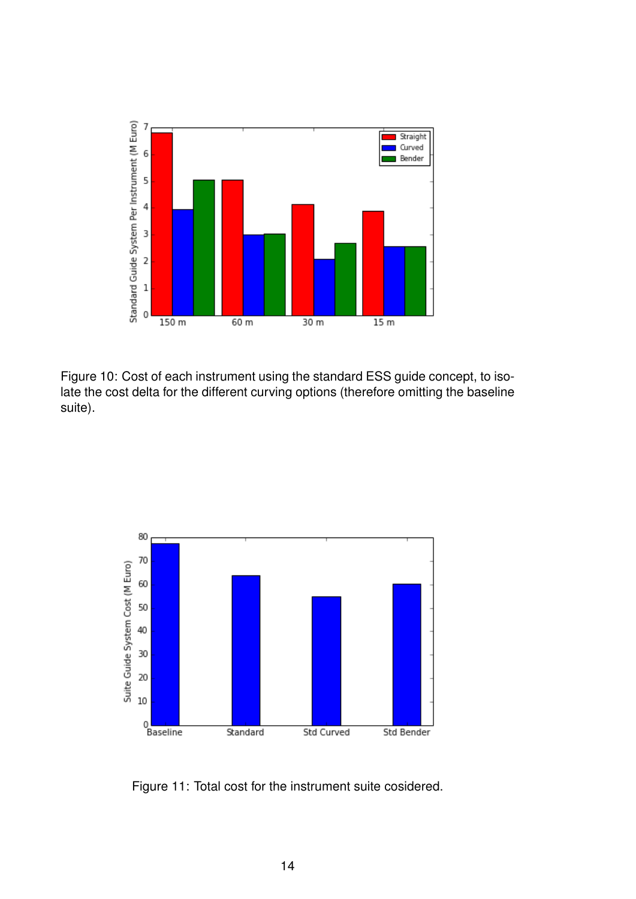<span id="page-13-0"></span>

Figure 10: Cost of each instrument using the standard ESS guide concept, to isolate the cost delta for the different curving options (therefore omitting the baseline suite).

<span id="page-13-1"></span>

Figure 11: Total cost for the instrument suite cosidered.